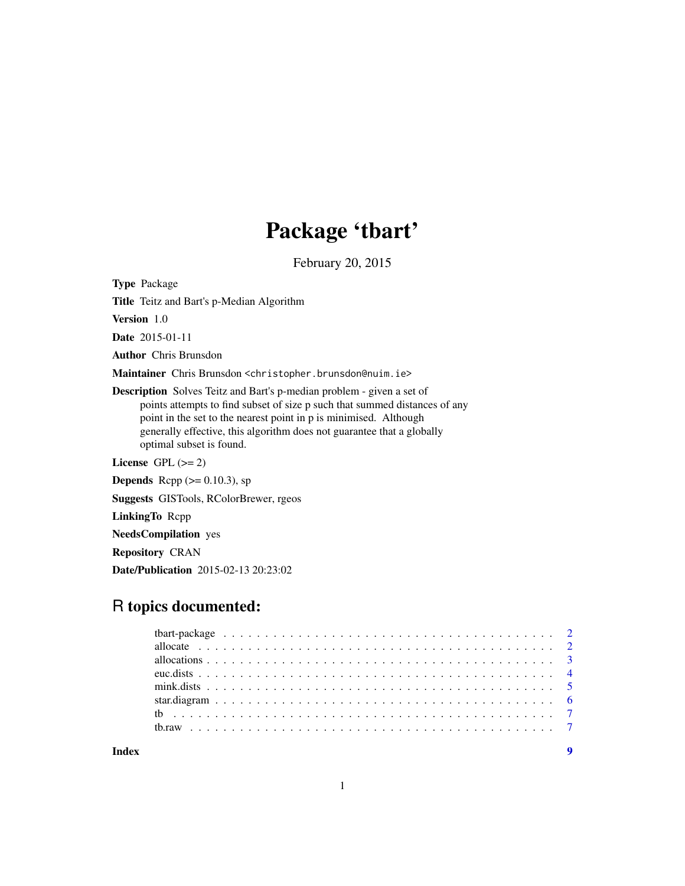# Package 'tbart'

February 20, 2015

Type Package

Title Teitz and Bart's p-Median Algorithm

Version 1.0

Date 2015-01-11

Author Chris Brunsdon

Maintainer Chris Brunsdon <christopher.brunsdon@nuim.ie>

Description Solves Teitz and Bart's p-median problem - given a set of points attempts to find subset of size p such that summed distances of any point in the set to the nearest point in p is minimised. Although generally effective, this algorithm does not guarantee that a globally optimal subset is found.

License GPL  $(>= 2)$ 

**Depends** Rcpp  $(>= 0.10.3)$ , sp

Suggests GISTools, RColorBrewer, rgeos

LinkingTo Rcpp

NeedsCompilation yes

Repository CRAN

Date/Publication 2015-02-13 20:23:02

# R topics documented:

**Index** [9](#page-8-0)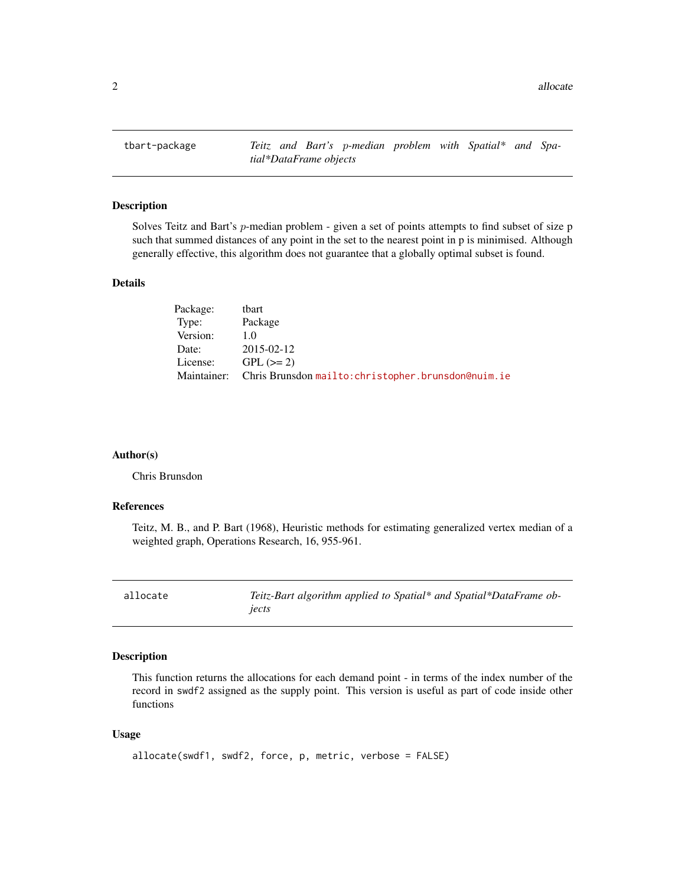<span id="page-1-0"></span>tbart-package *Teitz and Bart's* p*-median problem with Spatial\* and Spatial\*DataFrame objects*

#### Description

Solves Teitz and Bart's p-median problem - given a set of points attempts to find subset of size p such that summed distances of any point in the set to the nearest point in p is minimised. Although generally effective, this algorithm does not guarantee that a globally optimal subset is found.

#### Details

| Package:    | tbart                                               |
|-------------|-----------------------------------------------------|
| Type:       | Package                                             |
| Version:    | 10                                                  |
| Date:       | 2015-02-12                                          |
| License:    | $GPL (=2)$                                          |
| Maintainer: | Chris Brunsdon mailto: christopher.brunsdon@nuim.ie |

#### Author(s)

Chris Brunsdon

#### References

Teitz, M. B., and P. Bart (1968), Heuristic methods for estimating generalized vertex median of a weighted graph, Operations Research, 16, 955-961.

| allocate |
|----------|
|----------|

Teitz-Bart algorithm applied to Spatial\* and Spatial\*DataFrame ob*jects*

#### Description

This function returns the allocations for each demand point - in terms of the index number of the record in swdf2 assigned as the supply point. This version is useful as part of code inside other functions

#### Usage

```
allocate(swdf1, swdf2, force, p, metric, verbose = FALSE)
```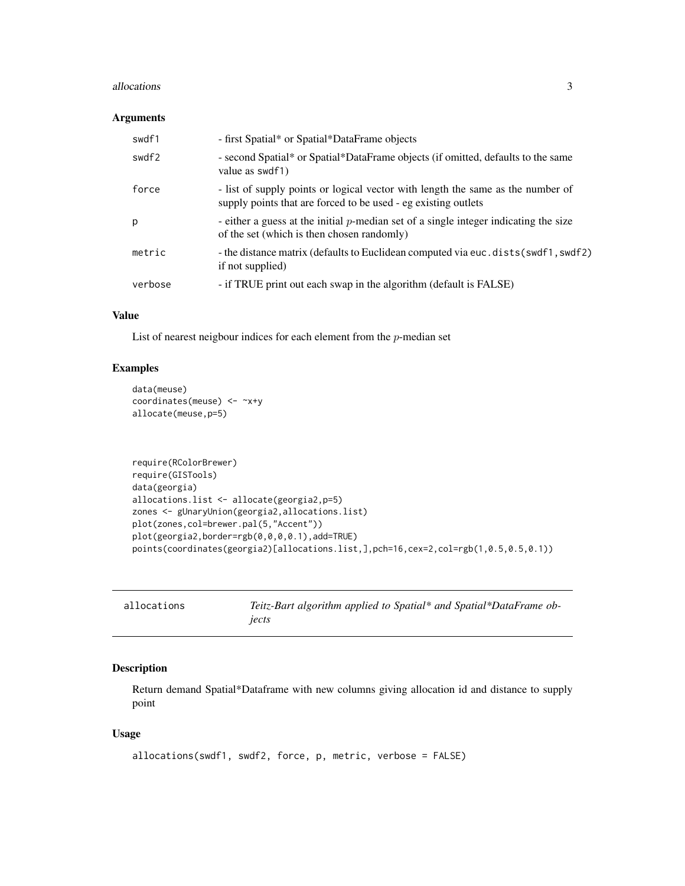#### <span id="page-2-0"></span>allocations 3

#### Arguments

| swdf1   | - first Spatial* or Spatial*DataFrame objects                                                                                                     |
|---------|---------------------------------------------------------------------------------------------------------------------------------------------------|
| swdf2   | - second Spatial* or Spatial*DataFrame objects (if omitted, defaults to the same<br>value as swdf1)                                               |
| force   | - list of supply points or logical vector with length the same as the number of<br>supply points that are forced to be used - eg existing outlets |
| р       | - either a guess at the initial $p$ -median set of a single integer indicating the size<br>of the set (which is then chosen randomly)             |
| metric  | - the distance matrix (defaults to Euclidean computed via euc.dists(swdf1, swdf2)<br>if not supplied)                                             |
| verbose | - if TRUE print out each swap in the algorithm (default is FALSE)                                                                                 |

#### Value

List of nearest neigbour indices for each element from the p-median set

#### Examples

```
data(meuse)
coordinates(meuse) <- ~x+y
allocate(meuse,p=5)
```

```
require(RColorBrewer)
require(GISTools)
data(georgia)
allocations.list <- allocate(georgia2,p=5)
zones <- gUnaryUnion(georgia2,allocations.list)
plot(zones,col=brewer.pal(5,"Accent"))
plot(georgia2,border=rgb(0,0,0,0.1),add=TRUE)
points(coordinates(georgia2)[allocations.list,],pch=16,cex=2,col=rgb(1,0.5,0.5,0.1))
```

| allocations | Teitz-Bart algorithm applied to Spatial* and Spatial*DataFrame ob- |
|-------------|--------------------------------------------------------------------|
|             | iects                                                              |

#### Description

Return demand Spatial\*Dataframe with new columns giving allocation id and distance to supply point

#### Usage

```
allocations(swdf1, swdf2, force, p, metric, verbose = FALSE)
```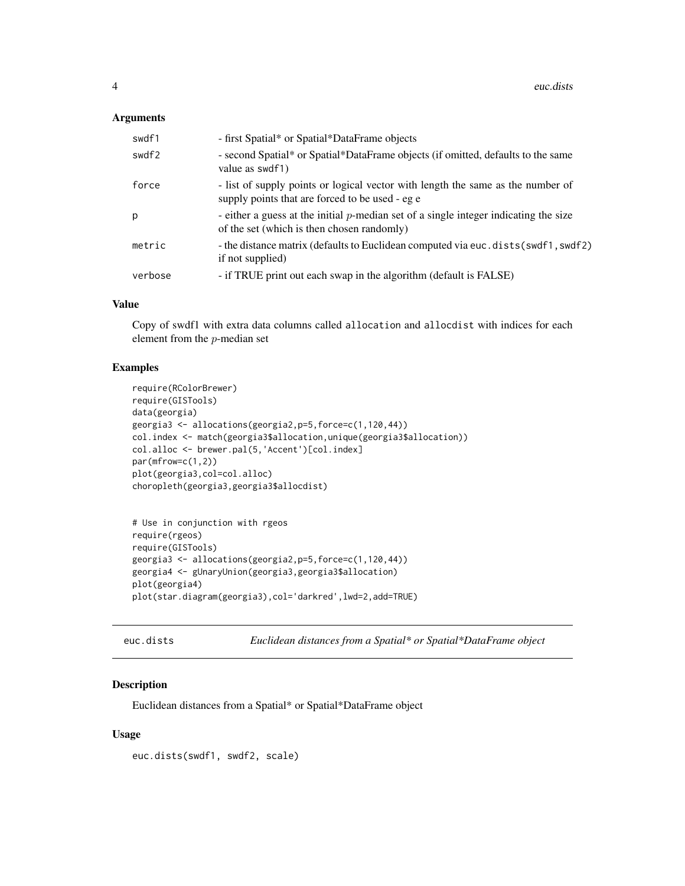#### <span id="page-3-0"></span>**Arguments**

| swdf1   | - first Spatial* or Spatial*DataFrame objects                                                                                         |
|---------|---------------------------------------------------------------------------------------------------------------------------------------|
| swdf2   | - second Spatial* or Spatial*DataFrame objects (if omitted, defaults to the same<br>value as swdf1)                                   |
| force   | - list of supply points or logical vector with length the same as the number of<br>supply points that are forced to be used - eg e    |
| p       | - either a guess at the initial $p$ -median set of a single integer indicating the size<br>of the set (which is then chosen randomly) |
| metric  | - the distance matrix (defaults to Euclidean computed via euc. dists (swdf1, swdf2)<br>if not supplied)                               |
| verbose | - if TRUE print out each swap in the algorithm (default is FALSE)                                                                     |

#### Value

Copy of swdf1 with extra data columns called allocation and allocdist with indices for each element from the p-median set

#### Examples

```
require(RColorBrewer)
require(GISTools)
data(georgia)
georgia3 <- allocations(georgia2,p=5,force=c(1,120,44))
col.index <- match(georgia3$allocation,unique(georgia3$allocation))
col.alloc <- brewer.pal(5,'Accent')[col.index]
par(mfrow=c(1,2))
plot(georgia3,col=col.alloc)
choropleth(georgia3,georgia3$allocdist)
```

```
# Use in conjunction with rgeos
require(rgeos)
require(GISTools)
georgia3 <- allocations(georgia2,p=5,force=c(1,120,44))
georgia4 <- gUnaryUnion(georgia3,georgia3$allocation)
plot(georgia4)
plot(star.diagram(georgia3),col='darkred',lwd=2,add=TRUE)
```
euc.dists *Euclidean distances from a Spatial\* or Spatial\*DataFrame object*

#### Description

Euclidean distances from a Spatial\* or Spatial\*DataFrame object

#### Usage

euc.dists(swdf1, swdf2, scale)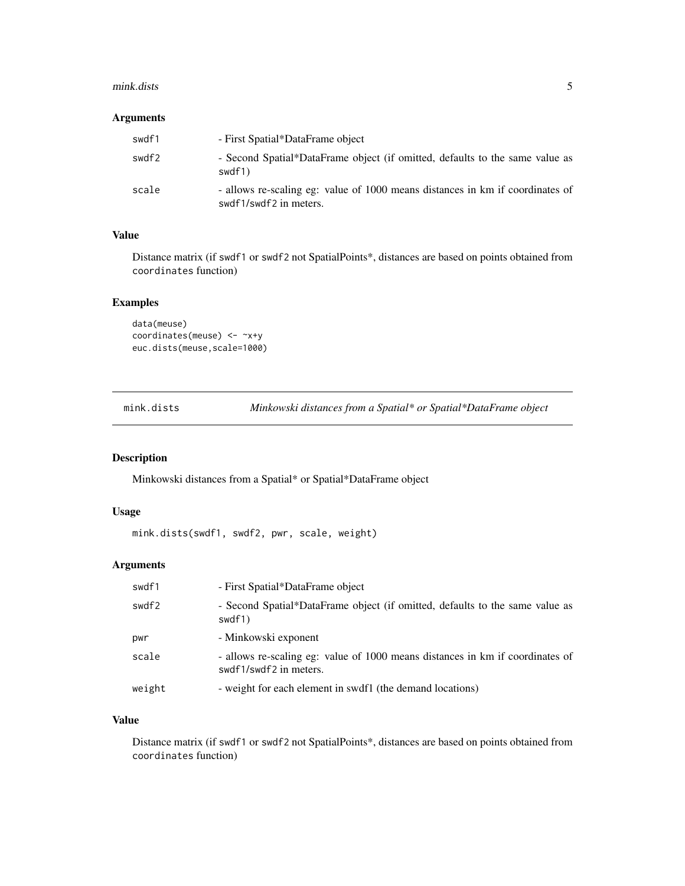#### <span id="page-4-0"></span>mink.dists 5

#### Arguments

| swdf1 | - First Spatial*DataFrame object                                                                        |
|-------|---------------------------------------------------------------------------------------------------------|
| swdf2 | - Second Spatial*DataFrame object (if omitted, defaults to the same value as<br>swdf1)                  |
| scale | - allows re-scaling eg: value of 1000 means distances in km if coordinates of<br>swdf1/swdf2 in meters. |

#### Value

Distance matrix (if swdf1 or swdf2 not SpatialPoints\*, distances are based on points obtained from coordinates function)

#### Examples

```
data(meuse)
coordinates(meuse) <- ~x+y
euc.dists(meuse,scale=1000)
```
mink.dists *Minkowski distances from a Spatial\* or Spatial\*DataFrame object*

#### Description

Minkowski distances from a Spatial\* or Spatial\*DataFrame object

#### Usage

```
mink.dists(swdf1, swdf2, pwr, scale, weight)
```
#### Arguments

| swdf1  | - First Spatial*DataFrame object                                                                        |
|--------|---------------------------------------------------------------------------------------------------------|
| swdf2  | - Second Spatial*DataFrame object (if omitted, defaults to the same value as<br>swdf1)                  |
| pwr    | - Minkowski exponent                                                                                    |
| scale  | - allows re-scaling eg: value of 1000 means distances in km if coordinates of<br>swdf1/swdf2 in meters. |
| weight | - weight for each element in swdf1 (the demand locations)                                               |

#### Value

Distance matrix (if swdf1 or swdf2 not SpatialPoints\*, distances are based on points obtained from coordinates function)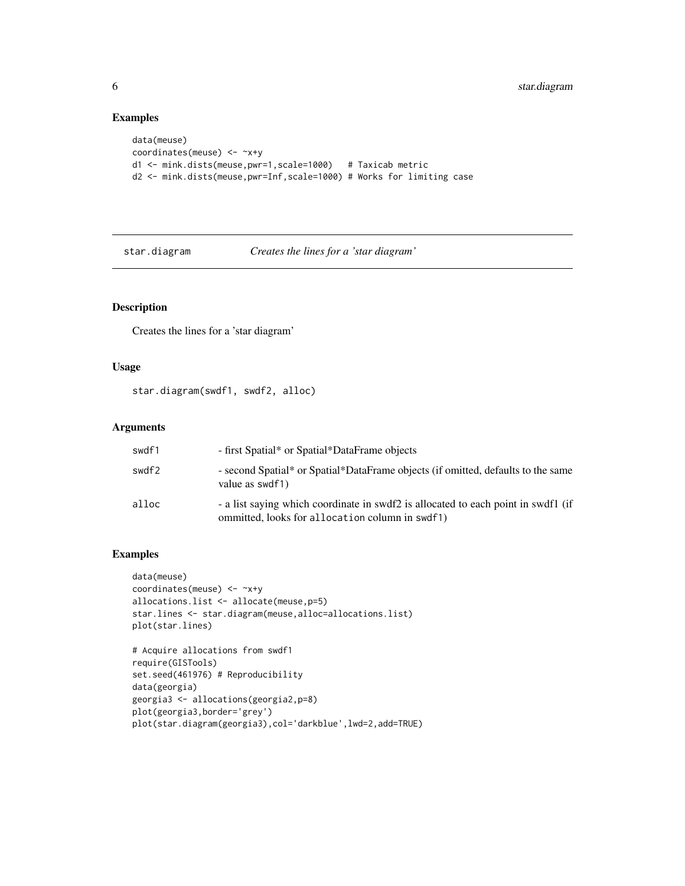#### Examples

```
data(meuse)
coordinates(meuse) <- ~x+y
d1 <- mink.dists(meuse,pwr=1,scale=1000) # Taxicab metric
d2 <- mink.dists(meuse,pwr=Inf,scale=1000) # Works for limiting case
```
star.diagram *Creates the lines for a 'star diagram'*

#### Description

Creates the lines for a 'star diagram'

#### Usage

star.diagram(swdf1, swdf2, alloc)

#### Arguments

| swdf1 | - first Spatial* or Spatial*DataFrame objects                                                                                        |
|-------|--------------------------------------------------------------------------------------------------------------------------------------|
| swdf2 | - second Spatial* or Spatial*DataFrame objects (if omitted, defaults to the same<br>value as swdf1)                                  |
| alloc | - a list saying which coordinate in swdf2 is allocated to each point in swdf1 (if<br>ommitted, looks for allocation column in swdf1) |

#### Examples

```
data(meuse)
coordinates(meuse) <- ~x+y
allocations.list <- allocate(meuse,p=5)
star.lines <- star.diagram(meuse,alloc=allocations.list)
plot(star.lines)
```

```
# Acquire allocations from swdf1
require(GISTools)
set.seed(461976) # Reproducibility
data(georgia)
georgia3 <- allocations(georgia2,p=8)
plot(georgia3,border='grey')
plot(star.diagram(georgia3),col='darkblue',lwd=2,add=TRUE)
```
<span id="page-5-0"></span>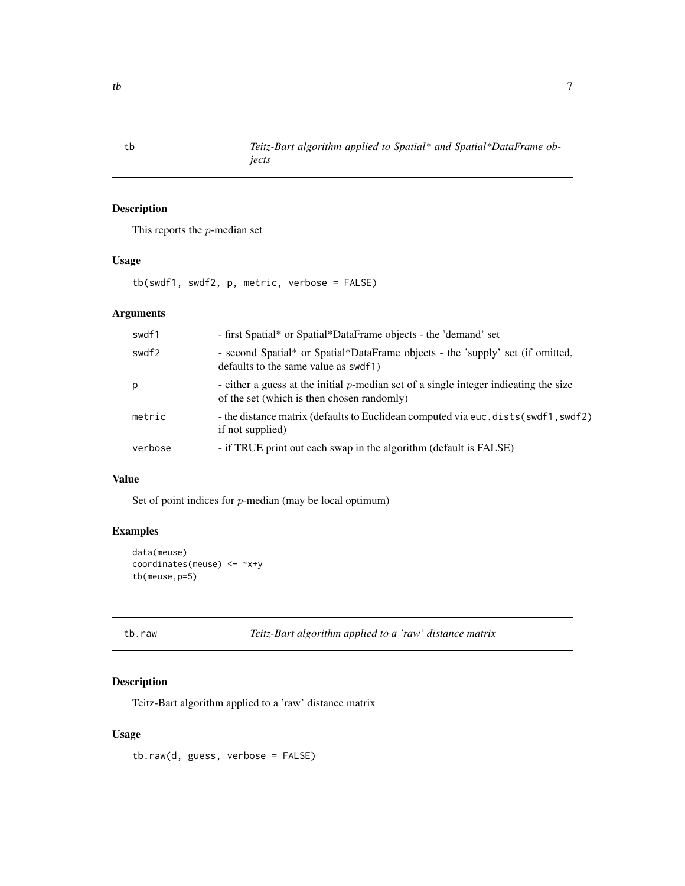#### Description

This reports the  $p$ -median set

#### Usage

```
tb(swdf1, swdf2, p, metric, verbose = FALSE)
```
### Arguments

| swdf1   | - first Spatial* or Spatial*DataFrame objects - the 'demand' set                                                                   |
|---------|------------------------------------------------------------------------------------------------------------------------------------|
| swdf2   | - second Spatial* or Spatial*DataFrame objects - the 'supply' set (if omitted,<br>defaults to the same value as swdf1)             |
| р       | - either a guess at the initial p-median set of a single integer indicating the size<br>of the set (which is then chosen randomly) |
| metric  | - the distance matrix (defaults to Euclidean computed via euc. dists (swdf1, swdf2)<br>if not supplied)                            |
| verbose | - if TRUE print out each swap in the algorithm (default is FALSE)                                                                  |

#### Value

Set of point indices for  $p$ -median (may be local optimum)

#### Examples

```
data(meuse)
coordinates(meuse) <- ~x+y
tb(meuse,p=5)
```
tb.raw *Teitz-Bart algorithm applied to a 'raw' distance matrix*

#### Description

Teitz-Bart algorithm applied to a 'raw' distance matrix

#### Usage

tb.raw(d, guess, verbose = FALSE)

<span id="page-6-0"></span>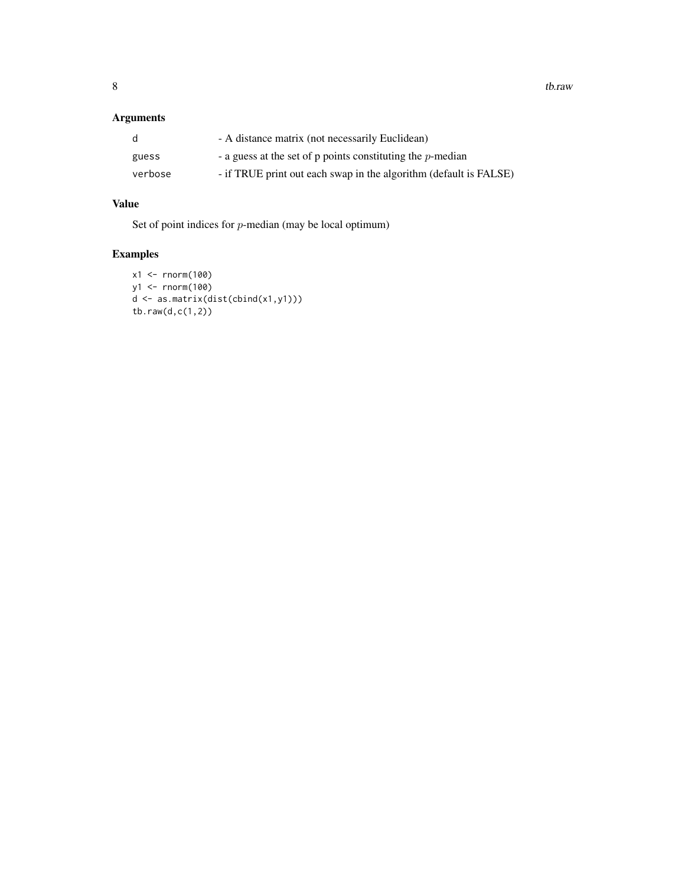#### Arguments

| d       | - A distance matrix (not necessarily Euclidean)                   |
|---------|-------------------------------------------------------------------|
| guess   | - a guess at the set of $p$ points constituting the $p$ -median   |
| verbose | - if TRUE print out each swap in the algorithm (default is FALSE) |

## Value

Set of point indices for p-median (may be local optimum)

# Examples

```
x1 <- rnorm(100)
y1 <- rnorm(100)
d <- as.matrix(dist(cbind(x1,y1)))
tb.raw(d,c(1,2))
```